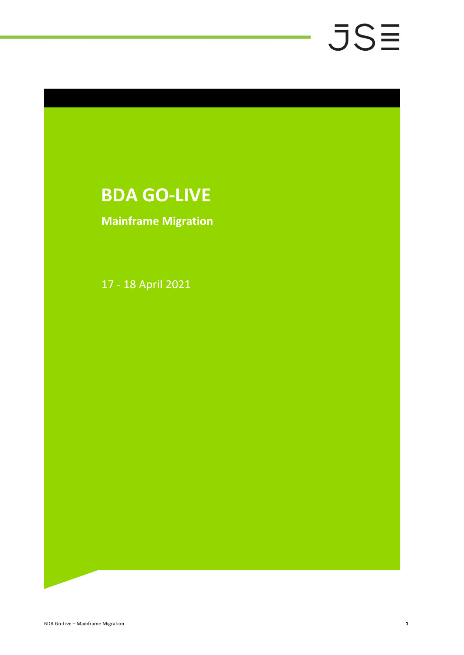# **BDA GO-LIVE**

# **Mainframe Migration**

17 - 18 April 2021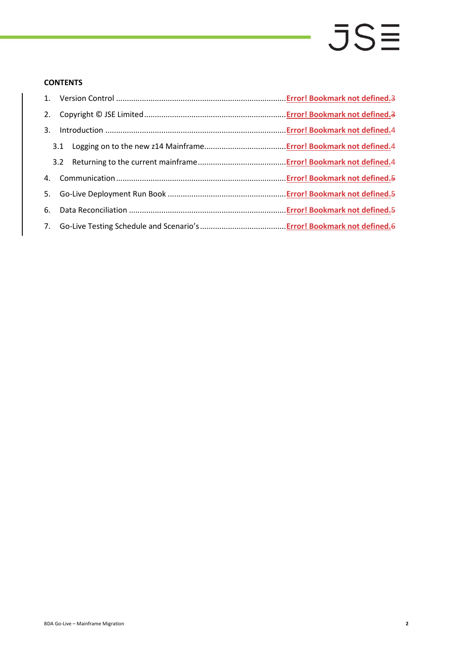## **CONTENTS**

| 2. |  |
|----|--|
| 3. |  |
|    |  |
|    |  |
|    |  |
|    |  |
|    |  |
|    |  |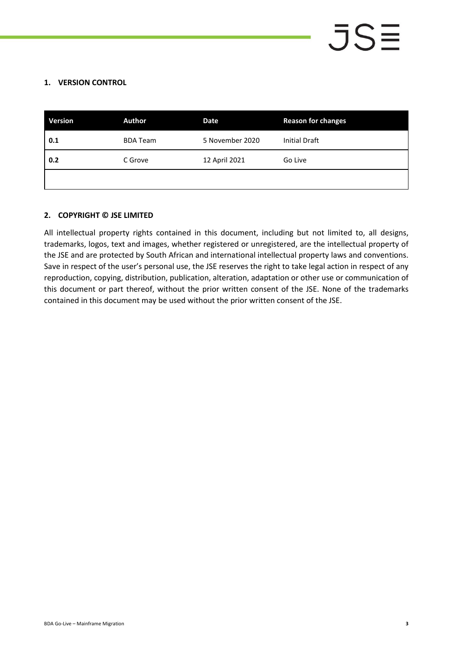# **1. VERSION CONTROL**

| <b>Version</b> | Author          | Date            | <b>Reason for changes</b> |
|----------------|-----------------|-----------------|---------------------------|
| 0.1            | <b>BDA Team</b> | 5 November 2020 | <b>Initial Draft</b>      |
| 0.2            | C Grove         | 12 April 2021   | Go Live                   |
|                |                 |                 |                           |

# **2. COPYRIGHT © JSE LIMITED**

All intellectual property rights contained in this document, including but not limited to, all designs, trademarks, logos, text and images, whether registered or unregistered, are the intellectual property of the JSE and are protected by South African and international intellectual property laws and conventions. Save in respect of the user's personal use, the JSE reserves the right to take legal action in respect of any reproduction, copying, distribution, publication, alteration, adaptation or other use or communication of this document or part thereof, without the prior written consent of the JSE. None of the trademarks contained in this document may be used without the prior written consent of the JSE.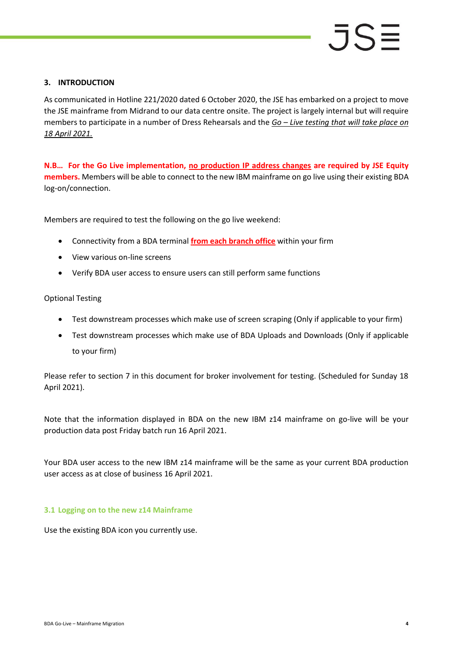### **3. INTRODUCTION**

As communicated in Hotline 221/2020 dated 6 October 2020, the JSE has embarked on a project to move the JSE mainframe from Midrand to our data centre onsite. The project is largely internal but will require members to participate in a number of Dress Rehearsals and the *Go – Live testing that will take place on 18 April 2021.* 

**N.B… For the Go Live implementation, no production IP address changes are required by JSE Equity members.** Members will be able to connect to the new IBM mainframe on go live using their existing BDA log-on/connection.

Members are required to test the following on the go live weekend:

- Connectivity from a BDA terminal **from each branch office** within your firm
- View various on-line screens
- Verify BDA user access to ensure users can still perform same functions

### Optional Testing

- Test downstream processes which make use of screen scraping (Only if applicable to your firm)
- Test downstream processes which make use of BDA Uploads and Downloads (Only if applicable to your firm)

Please refer to section 7 in this document for broker involvement for testing. (Scheduled for Sunday 18 April 2021).

Note that the information displayed in BDA on the new IBM z14 mainframe on go-live will be your production data post Friday batch run 16 April 2021.

Your BDA user access to the new IBM z14 mainframe will be the same as your current BDA production user access as at close of business 16 April 2021.

### **3.1 Logging on to the new z14 Mainframe**

Use the existing BDA icon you currently use.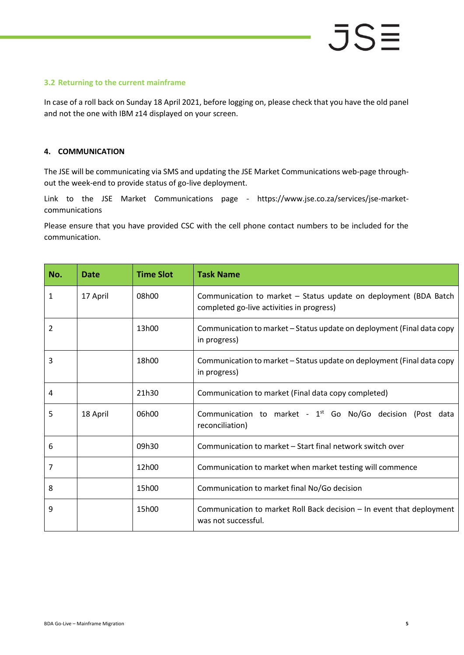# **3.2 Returning to the current mainframe**

In case of a roll back on Sunday 18 April 2021, before logging on, please check that you have the old panel and not the one with IBM z14 displayed on your screen.

# **4. COMMUNICATION**

The JSE will be communicating via SMS and updating the JSE Market Communications web-page throughout the week-end to provide status of go-live deployment.

Link to the JSE Market Communications page - https://www.jse.co.za/services/jse-marketcommunications

Please ensure that you have provided CSC with the cell phone contact numbers to be included for the communication.

| No. | <b>Date</b> | <b>Time Slot</b> | <b>Task Name</b>                                                                                              |  |
|-----|-------------|------------------|---------------------------------------------------------------------------------------------------------------|--|
| 1   | 17 April    | 08h00            | Communication to market - Status update on deployment (BDA Batch<br>completed go-live activities in progress) |  |
| 2   |             | 13h00            | Communication to market – Status update on deployment (Final data copy<br>in progress)                        |  |
| 3   |             | 18h00            | Communication to market – Status update on deployment (Final data copy<br>in progress)                        |  |
| 4   |             | 21h30            | Communication to market (Final data copy completed)                                                           |  |
| 5   | 18 April    | 06h00            | Communication to market - $1st$ Go No/Go decision (Post data<br>reconciliation)                               |  |
| 6   |             | 09h30            | Communication to market – Start final network switch over                                                     |  |
| 7   |             | 12h00            | Communication to market when market testing will commence                                                     |  |
| 8   |             | 15h00            | Communication to market final No/Go decision                                                                  |  |
| 9   |             | 15h00            | Communication to market Roll Back decision – In event that deployment<br>was not successful.                  |  |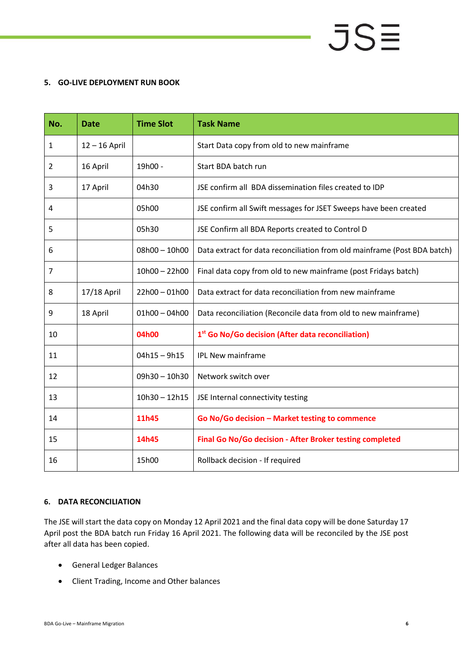# **5. GO-LIVE DEPLOYMENT RUN BOOK**

| No. | <b>Date</b>     | <b>Time Slot</b> | <b>Task Name</b>                                                         |
|-----|-----------------|------------------|--------------------------------------------------------------------------|
| 1   | $12 - 16$ April |                  | Start Data copy from old to new mainframe                                |
| 2   | 16 April        | 19h00 -          | Start BDA batch run                                                      |
| 3   | 17 April        | 04h30            | JSE confirm all BDA dissemination files created to IDP                   |
| 4   |                 | 05h00            | JSE confirm all Swift messages for JSET Sweeps have been created         |
| 5   |                 | 05h30            | JSE Confirm all BDA Reports created to Control D                         |
| 6   |                 | $08h00 - 10h00$  | Data extract for data reconciliation from old mainframe (Post BDA batch) |
| 7   |                 | $10h00 - 22h00$  | Final data copy from old to new mainframe (post Fridays batch)           |
| 8   | 17/18 April     | $22h00 - 01h00$  | Data extract for data reconciliation from new mainframe                  |
| 9   | 18 April        | $01h00 - 04h00$  | Data reconciliation (Reconcile data from old to new mainframe)           |
| 10  |                 | 04h00            | 1st Go No/Go decision (After data reconciliation)                        |
| 11  |                 | $04h15 - 9h15$   | <b>IPL New mainframe</b>                                                 |
| 12  |                 | 09h30 - 10h30    | Network switch over                                                      |
| 13  |                 | $10h30 - 12h15$  | JSE Internal connectivity testing                                        |
| 14  |                 | 11h45            | Go No/Go decision - Market testing to commence                           |
| 15  |                 | 14h45            | Final Go No/Go decision - After Broker testing completed                 |
| 16  |                 | 15h00            | Rollback decision - If required                                          |

### **6. DATA RECONCILIATION**

The JSE will start the data copy on Monday 12 April 2021 and the final data copy will be done Saturday 17 April post the BDA batch run Friday 16 April 2021. The following data will be reconciled by the JSE post after all data has been copied.

- General Ledger Balances
- Client Trading, Income and Other balances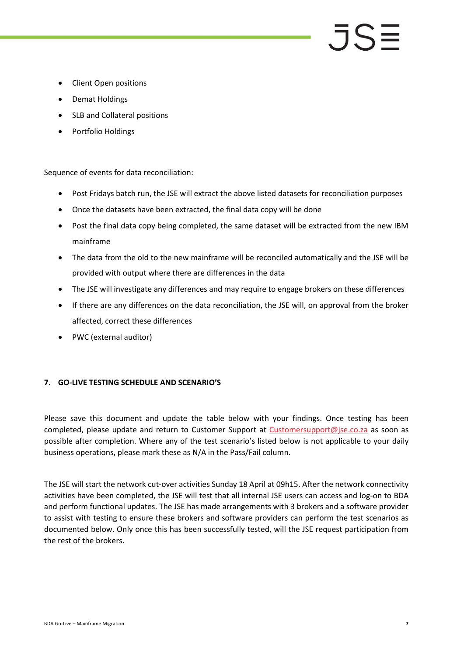# $J\mathsf{S}$

- Client Open positions
- Demat Holdings
- SLB and Collateral positions
- Portfolio Holdings

Sequence of events for data reconciliation:

- Post Fridays batch run, the JSE will extract the above listed datasets for reconciliation purposes
- Once the datasets have been extracted, the final data copy will be done
- Post the final data copy being completed, the same dataset will be extracted from the new IBM mainframe
- The data from the old to the new mainframe will be reconciled automatically and the JSE will be provided with output where there are differences in the data
- The JSE will investigate any differences and may require to engage brokers on these differences
- If there are any differences on the data reconciliation, the JSE will, on approval from the broker affected, correct these differences
- PWC (external auditor)

### **7. GO-LIVE TESTING SCHEDULE AND SCENARIO'S**

Please save this document and update the table below with your findings. Once testing has been completed, please update and return to Customer Support at [Customersupport@jse.co.za](mailto:Customersupport@jse.co.za) as soon as possible after completion. Where any of the test scenario's listed below is not applicable to your daily business operations, please mark these as N/A in the Pass/Fail column.

The JSE will start the network cut-over activities Sunday 18 April at 09h15. After the network connectivity activities have been completed, the JSE will test that all internal JSE users can access and log-on to BDA and perform functional updates. The JSE has made arrangements with 3 brokers and a software provider to assist with testing to ensure these brokers and software providers can perform the test scenarios as documented below. Only once this has been successfully tested, will the JSE request participation from the rest of the brokers.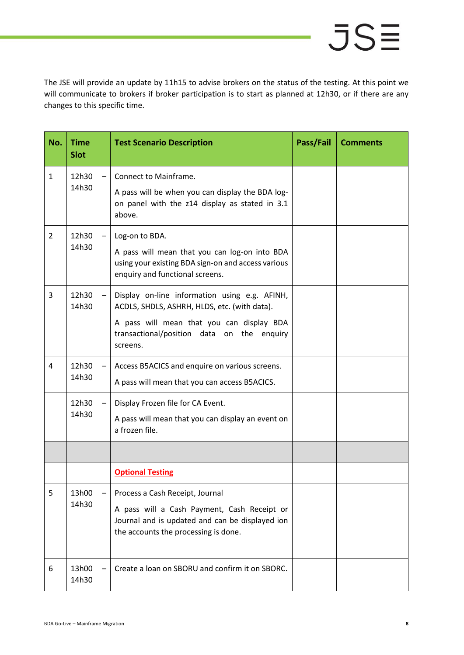The JSE will provide an update by 11h15 to advise brokers on the status of the testing. At this point we will communicate to brokers if broker participation is to start as planned at 12h30, or if there are any changes to this specific time.

| No. | <b>Time</b><br><b>Slot</b> |  | <b>Test Scenario Description</b>                                                                                                       | Pass/Fail | <b>Comments</b> |
|-----|----------------------------|--|----------------------------------------------------------------------------------------------------------------------------------------|-----------|-----------------|
| 1   | 12h30<br>14h30             |  | Connect to Mainframe.                                                                                                                  |           |                 |
|     |                            |  | A pass will be when you can display the BDA log-<br>on panel with the z14 display as stated in 3.1<br>above.                           |           |                 |
| 2   | 12h30<br>14h30             |  | Log-on to BDA.                                                                                                                         |           |                 |
|     |                            |  | A pass will mean that you can log-on into BDA<br>using your existing BDA sign-on and access various<br>enquiry and functional screens. |           |                 |
| 3   | 12h30<br>14h30             |  | Display on-line information using e.g. AFINH,<br>ACDLS, SHDLS, ASHRH, HLDS, etc. (with data).                                          |           |                 |
|     |                            |  | A pass will mean that you can display BDA<br>transactional/position data on the<br>enquiry<br>screens.                                 |           |                 |
| 4   | 12h30<br>14h30             |  | Access B5ACICS and enquire on various screens.<br>A pass will mean that you can access B5ACICS.                                        |           |                 |
|     | 12h30<br>14h30             |  | Display Frozen file for CA Event.                                                                                                      |           |                 |
|     |                            |  | A pass will mean that you can display an event on<br>a frozen file.                                                                    |           |                 |
|     |                            |  |                                                                                                                                        |           |                 |
|     |                            |  | <b>Optional Testing</b>                                                                                                                |           |                 |
| 5   | 13h00<br>14h30             |  | Process a Cash Receipt, Journal                                                                                                        |           |                 |
|     |                            |  | A pass will a Cash Payment, Cash Receipt or<br>Journal and is updated and can be displayed ion<br>the accounts the processing is done. |           |                 |
| 6   | 13h00<br>14h30             |  | Create a loan on SBORU and confirm it on SBORC.                                                                                        |           |                 |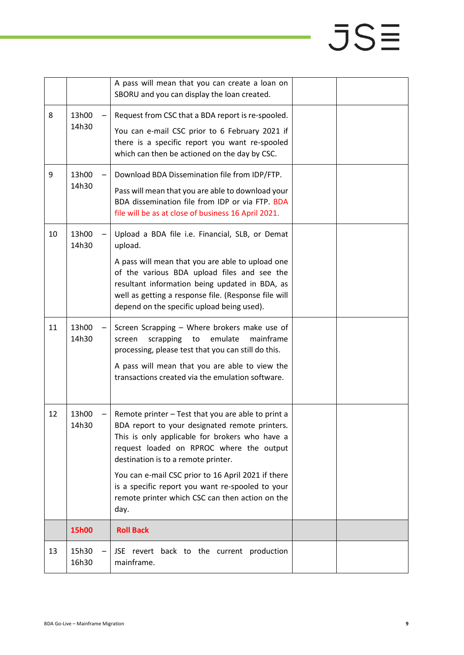|    |                | A pass will mean that you can create a loan on<br>SBORU and you can display the loan created.                                                                                                                                                                  |  |
|----|----------------|----------------------------------------------------------------------------------------------------------------------------------------------------------------------------------------------------------------------------------------------------------------|--|
| 8  | 13h00<br>14h30 | Request from CSC that a BDA report is re-spooled.<br>You can e-mail CSC prior to 6 February 2021 if<br>there is a specific report you want re-spooled<br>which can then be actioned on the day by CSC.                                                         |  |
| 9  | 13h00<br>14h30 | Download BDA Dissemination file from IDP/FTP.<br>Pass will mean that you are able to download your<br>BDA dissemination file from IDP or via FTP. BDA<br>file will be as at close of business 16 April 2021.                                                   |  |
| 10 | 13h00<br>14h30 | Upload a BDA file i.e. Financial, SLB, or Demat<br>upload.                                                                                                                                                                                                     |  |
|    |                | A pass will mean that you are able to upload one<br>of the various BDA upload files and see the<br>resultant information being updated in BDA, as<br>well as getting a response file. (Response file will<br>depend on the specific upload being used).        |  |
| 11 | 13h00<br>14h30 | Screen Scrapping - Where brokers make use of<br>emulate<br>mainframe<br>scrapping<br>to<br>screen<br>processing, please test that you can still do this.<br>A pass will mean that you are able to view the<br>transactions created via the emulation software. |  |
| 12 | 13h00<br>14h30 | Remote printer - Test that you are able to print a<br>BDA report to your designated remote printers.<br>This is only applicable for brokers who have a<br>request loaded on RPROC where the output<br>destination is to a remote printer.                      |  |
|    |                | You can e-mail CSC prior to 16 April 2021 if there<br>is a specific report you want re-spooled to your<br>remote printer which CSC can then action on the<br>day.                                                                                              |  |
|    | 15h00          | <b>Roll Back</b>                                                                                                                                                                                                                                               |  |
| 13 | 15h30<br>16h30 | JSE revert back to the current production<br>mainframe.                                                                                                                                                                                                        |  |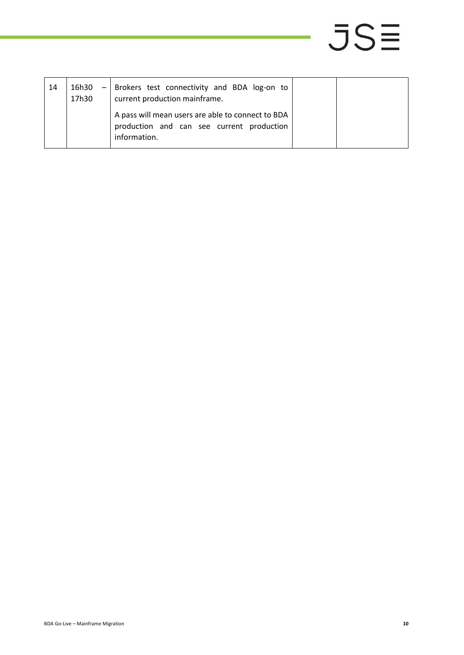| 14 | 16h30<br>$-1$<br>17h30 | Brokers test connectivity and BDA log-on to<br>current production mainframe.<br>A pass will mean users are able to connect to BDA |  |
|----|------------------------|-----------------------------------------------------------------------------------------------------------------------------------|--|
|    |                        | production and can see current production<br>information.                                                                         |  |